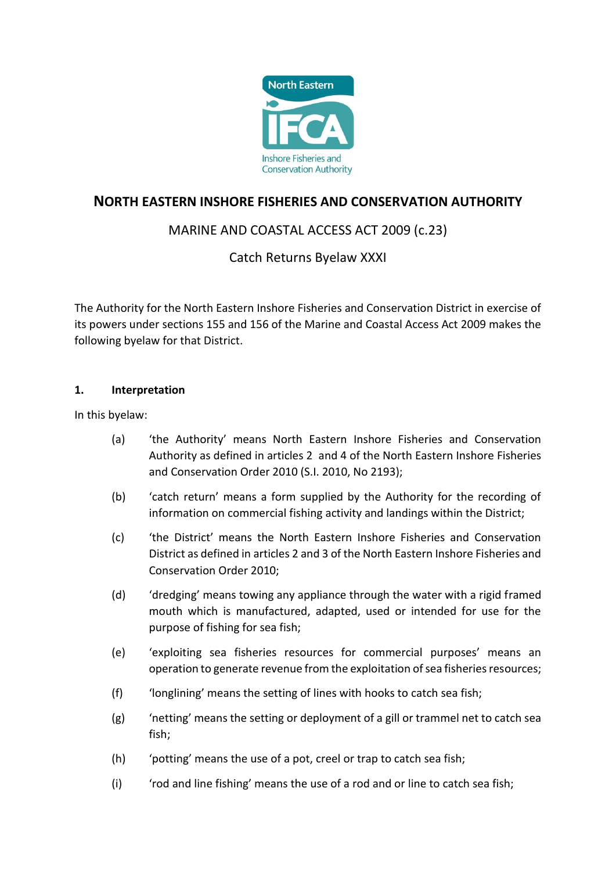

# **NORTH EASTERN INSHORE FISHERIES AND CONSERVATION AUTHORITY**

# MARINE AND COASTAL ACCESS ACT 2009 (c.23)

### Catch Returns Byelaw XXXI

The Authority for the North Eastern Inshore Fisheries and Conservation District in exercise of its powers under sections 155 and 156 of the Marine and Coastal Access Act 2009 makes the following byelaw for that District.

#### **1. Interpretation**

In this byelaw:

- (a) 'the Authority' means North Eastern Inshore Fisheries and Conservation Authority as defined in articles 2 and 4 of the North Eastern Inshore Fisheries and Conservation Order 2010 (S.I. 2010, No 2193);
- (b) 'catch return' means a form supplied by the Authority for the recording of information on commercial fishing activity and landings within the District;
- (c) 'the District' means the North Eastern Inshore Fisheries and Conservation District as defined in articles 2 and 3 of the North Eastern Inshore Fisheries and Conservation Order 2010;
- (d) 'dredging' means towing any appliance through the water with a rigid framed mouth which is manufactured, adapted, used or intended for use for the purpose of fishing for sea fish;
- (e) 'exploiting sea fisheries resources for commercial purposes' means an operation to generate revenue from the exploitation of sea fisheries resources;
- (f) 'longlining' means the setting of lines with hooks to catch sea fish;
- (g) 'netting' means the setting or deployment of a gill or trammel net to catch sea fish;
- (h) 'potting' means the use of a pot, creel or trap to catch sea fish;
- (i) 'rod and line fishing' means the use of a rod and or line to catch sea fish;